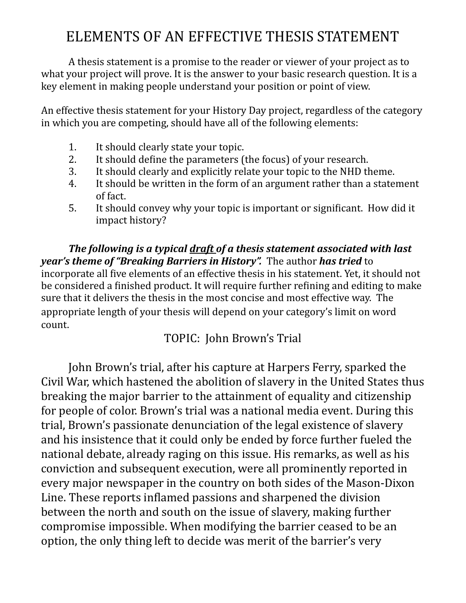## ELEMENTS OF AN EFFECTIVE THESIS STATEMENT

A thesis statement is a promise to the reader or viewer of your project as to what your project will prove. It is the answer to your basic research question. It is a key element in making people understand your position or point of view.

An effective thesis statement for your History Day project, regardless of the category in which you are competing, should have all of the following elements:

- 1. It should clearly state your topic.
- 2. It should define the parameters (the focus) of your research.
- 3. It should clearly and explicitly relate your topic to the NHD theme.
- 4. It should be written in the form of an argument rather than a statement of fact.
- 5. It should convey why your topic is important or significant. How did it impact history?

*The following is a typical draft of a thesis statement associated with last year's* theme of "Breaking Barriers in History". The author has tried to incorporate all five elements of an effective thesis in his statement. Yet, it should not be considered a finished product. It will require further refining and editing to make sure that it delivers the thesis in the most concise and most effective way. The appropriate length of your thesis will depend on your category's limit on word count. 

TOPIC: John Brown's Trial

John Brown's trial, after his capture at Harpers Ferry, sparked the Civil War, which hastened the abolition of slavery in the United States thus breaking the major barrier to the attainment of equality and citizenship for people of color. Brown's trial was a national media event. During this trial, Brown's passionate denunciation of the legal existence of slavery and his insistence that it could only be ended by force further fueled the national debate, already raging on this issue. His remarks, as well as his conviction and subsequent execution, were all prominently reported in every major newspaper in the country on both sides of the Mason-Dixon Line. These reports inflamed passions and sharpened the division between the north and south on the issue of slavery, making further compromise impossible. When modifying the barrier ceased to be an option, the only thing left to decide was merit of the barrier's very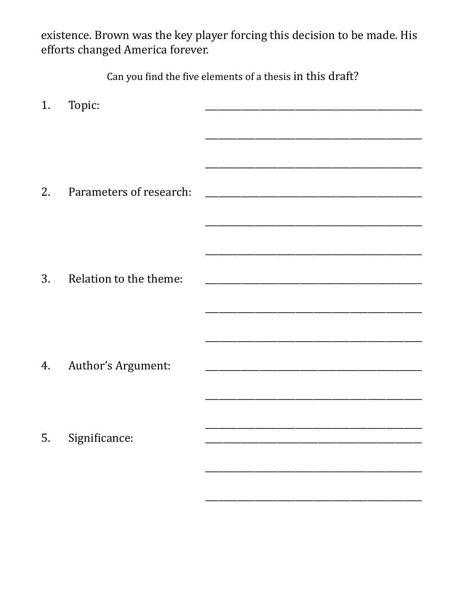existence. Brown was the key player forcing this decision to be made. His efforts changed America forever.

Can you find the five elements of a thesis in this draft?

| 1. | Topic:                  |                                                                                                                      |
|----|-------------------------|----------------------------------------------------------------------------------------------------------------------|
|    |                         |                                                                                                                      |
|    |                         |                                                                                                                      |
|    |                         |                                                                                                                      |
| 2. | Parameters of research: |                                                                                                                      |
|    |                         |                                                                                                                      |
|    |                         |                                                                                                                      |
|    |                         |                                                                                                                      |
| 3. | Relation to the theme:  |                                                                                                                      |
|    |                         | <u> 1980 - Johann John Stone, market fan it ferstjer fan it ferstjer fan it ferstjer fan it ferstjer fan it fers</u> |
|    |                         |                                                                                                                      |
| 4. | Author's Argument:      |                                                                                                                      |
|    |                         |                                                                                                                      |
|    |                         |                                                                                                                      |
| 5. | Significance:           |                                                                                                                      |
|    |                         |                                                                                                                      |
|    |                         |                                                                                                                      |